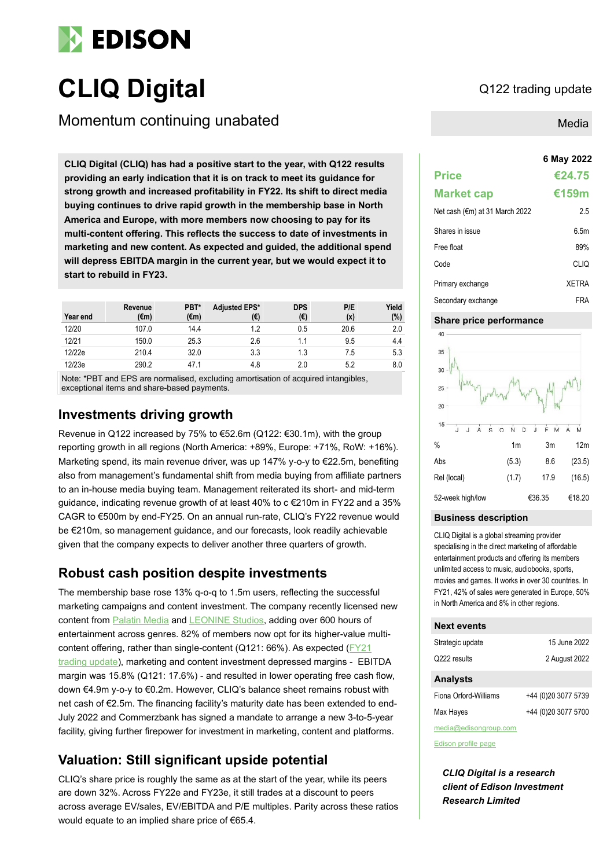

# **CLIQ** Digital Q122 trading update

Momentum continuing unabated

**6 May 2022 CLIQ Digital (CLIQ) has had a positive start to the year, with Q122 results providing an early indication that it is on track to meet its guidance for strong growth and increased profitability in FY22. Its shift to direct media buying continues to drive rapid growth in the membership base in North America and Europe, with more members now choosing to pay for its multi-content offering. This reflects the success to date of investments in marketing and new content. As expected and guided, the additional spend will depress EBITDA margin in the current year, but we would expect it to start to rebuild in FY23.**

| Year end | Revenue<br>$(\epsilon m)$ | PBT*<br>$(\epsilon m)$ | <b>Adjusted EPS*</b><br>(€) | <b>DPS</b><br>(€) | P/E<br>(x) | Yield<br>(%) |
|----------|---------------------------|------------------------|-----------------------------|-------------------|------------|--------------|
| 12/20    | 107.0                     | 14.4                   | 1.2                         | 0.5               | 20.6       | 2.0          |
| 12/21    | 150.0                     | 25.3                   | 2.6                         | 1.1               | 9.5        | 4.4          |
| 12/22e   | 210.4                     | 32.0                   | 3.3                         | 1.3               | 7.5        | 5.3          |
| 12/23e   | 290.2                     | 47.1                   | 4.8                         | 2.0               | 5.2        | 8.0          |

Note: \*PBT and EPS are normalised, excluding amortisation of acquired intangibles, exceptional items and share-based payments.

## **Investments driving growth**

Revenue in Q122 increased by 75% to €52.6m (Q122: €30.1m), with the group reporting growth in all regions (North America: +89%, Europe: +71%, RoW: +16%). Marketing spend, its main revenue driver, was up 147% y-o-y to €22.5m, benefiting also from management's fundamental shift from media buying from affiliate partners to an in-house media buying team. Management reiterated its short- and mid-term guidance, indicating revenue growth of at least 40% to c €210m in FY22 and a 35% CAGR to €500m by end-FY25. On an annual run-rate, CLIQ's FY22 revenue would be €210m, so management guidance, and our forecasts, look readily achievable given that the company expects to deliver another three quarters of growth.

## **Robust cash position despite investments**

The membership base rose 13% q-o-q to 1.5m users, reflecting the successful marketing campaigns and content investment. The company recently licensed new content from **Palatin Media** and **LEONINE Studios**, adding over 600 hours of entertainment across genres. 82% of members now opt for its higher-value multicontent offering, rather than single-content (Q121: 66%). As expected [\(FY21](https://www.edisongroup.com/publication/delivering-growth-and-profitability-2/30619/)  [trading update\)](https://www.edisongroup.com/publication/delivering-growth-and-profitability-2/30619/), marketing and content investment depressed margins - EBITDA margin was 15.8% (Q121: 17.6%) - and resulted in lower operating free cash flow, down €4.9m y-o-y to €0.2m. However, CLIQ's balance sheet remains robust with net cash of €2.5m. The financing facility's maturity date has been extended to end-July 2022 and Commerzbank has signed a mandate to arrange a new 3-to-5-year facility, giving further firepower for investment in marketing, content and platforms.

## **Valuation: Still significant upside potential**

CLIQ's share price is roughly the same as at the start of the year, while its peers are down 32%. Across FY22e and FY23e, it still trades at a discount to peers across average EV/sales, EV/EBITDA and P/E multiples. Parity across these ratios would equate to an implied share price of €65.4.

### Media

## **Price €24.75 Market cap €159m** Net cash ( $€m$ ) at 31 March 2022 2.5 Shares in issue 6.5m Free float 89% Code CLIQ Primary exchange XETRA Secondary exchange FRA

#### **Share price performance**



#### **Business description**

CLIQ Digital is a global streaming provider specialising in the direct marketing of affordable entertainment products and offering its members unlimited access to music, audiobooks, sports, movies and games. It works in over 30 countries. In FY21, 42% of sales were generated in Europe, 50% in North America and 8% in other regions.

#### **Next events**

| Strategic update      | 15 June 2022        |
|-----------------------|---------------------|
| Q222 results          | 2 August 2022       |
| <b>Analysts</b>       |                     |
| Fiona Orford-Williams | +44 (0)20 3077 5739 |

Max Hayes +44 (0)20 3077 5700 media@edisongroup.com

[Edison profile page](https://www.edisongroup.com/company/cliq-digital/)

*CLIQ Digital is a research client of Edison Investment Research Limited*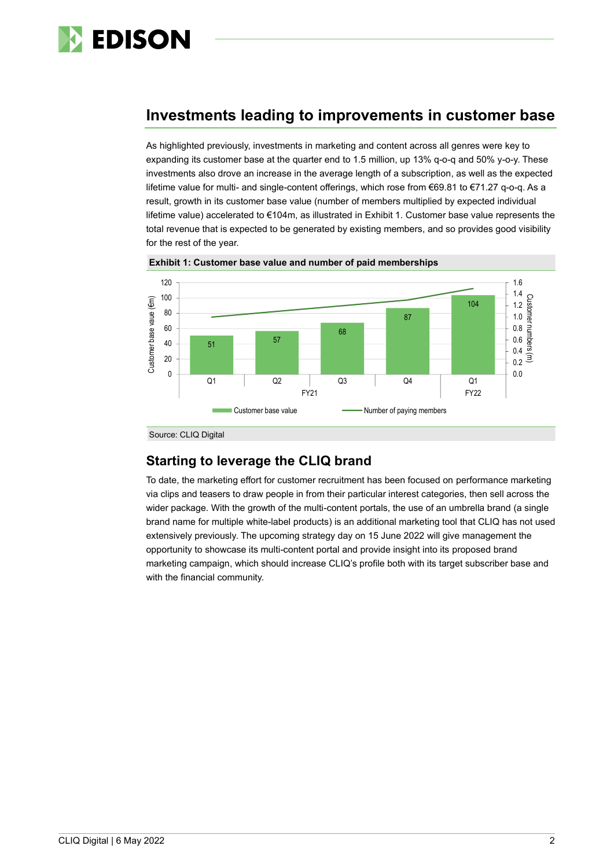

## **Investments leading to improvements in customer base**

As highlighted previously, investments in marketing and content across all genres were key to expanding its customer base at the quarter end to 1.5 million, up 13% q-o-q and 50% y-o-y. These investments also drove an increase in the average length of a subscription, as well as the expected lifetime value for multi- and single-content offerings, which rose from €69.81 to €71.27 q-o-q. As a result, growth in its customer base value (number of members multiplied by expected individual lifetime value) accelerated to €104m, as illustrated in Exhibit 1. Customer base value represents the total revenue that is expected to be generated by existing members, and so provides good visibility for the rest of the year.



**Exhibit 1: Customer base value and number of paid memberships**

## **Starting to leverage the CLIQ brand**

To date, the marketing effort for customer recruitment has been focused on performance marketing via clips and teasers to draw people in from their particular interest categories, then sell across the wider package. With the growth of the multi-content portals, the use of an umbrella brand (a single brand name for multiple white-label products) is an additional marketing tool that CLIQ has not used extensively previously. The upcoming strategy day on 15 June 2022 will give management the opportunity to showcase its multi-content portal and provide insight into its proposed brand marketing campaign, which should increase CLIQ's profile both with its target subscriber base and with the financial community.

Source: CLIQ Digital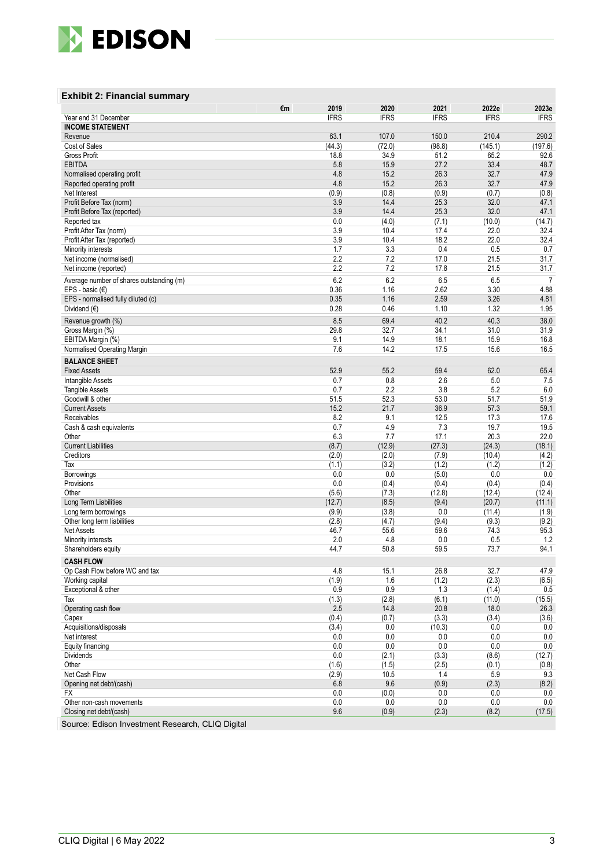

#### **Exhibit 2 : Financial summary**

|                                                  | €m | 2019         | 2020          | 2021          | 2022e          | 2023e          |
|--------------------------------------------------|----|--------------|---------------|---------------|----------------|----------------|
| Year end 31 December                             |    | <b>IFRS</b>  | <b>IFRS</b>   | <b>IFRS</b>   | <b>IFRS</b>    | <b>IFRS</b>    |
| <b>INCOME STATEMENT</b>                          |    |              |               |               |                |                |
| Revenue                                          |    | 63.1         | 107.0         | 150.0         | 210.4          | 290.2          |
| Cost of Sales                                    |    | (44.3)       | (72.0)        | (98.8)        | (145.1)        | (197.6)        |
| Gross Profit                                     |    | 18.8         | 34.9          | 51.2          | 65.2           | 92.6           |
| <b>EBITDA</b>                                    |    | 5.8          | 15.9          | 27.2          | 33.4           | 48.7           |
| Normalised operating profit                      |    | 4.8          | 15.2          | 26.3          | 32.7           | 47.9           |
| Reported operating profit                        |    | 4.8          | 15.2          | 26.3          | 32.7           | 47.9           |
| Net Interest                                     |    | (0.9)        | (0.8)         | (0.9)         | (0.7)          | (0.8)          |
| Profit Before Tax (norm)                         |    | 3.9          | 14.4          | 25.3          | 32.0           | 47.1           |
| Profit Before Tax (reported)                     |    | 3.9<br>0.0   | 14.4<br>(4.0) | 25.3          | 32.0           | 47.1           |
| Reported tax<br>Profit After Tax (norm)          |    | 3.9          |               | (7.1)         | (10.0)<br>22.0 | (14.7)<br>32.4 |
| Profit After Tax (reported)                      |    | 3.9          | 10.4<br>10.4  | 17.4<br>18.2  | 22.0           | 32.4           |
| Minority interests                               |    | 1.7          | 3.3           | 0.4           | 0.5            | 0.7            |
| Net income (normalised)                          |    | 2.2          | 7.2           | 17.0          | 21.5           | 31.7           |
| Net income (reported)                            |    | 2.2          | 7.2           | 17.8          | 21.5           | 31.7           |
|                                                  |    |              |               |               |                |                |
| Average number of shares outstanding (m)         |    | 6.2          | 6.2           | 6.5           | 6.5            | 7              |
| EPS - basic $(E)$                                |    | 0.36         | 1.16          | 2.62          | 3.30           | 4.88           |
| EPS - normalised fully diluted (c)               |    | 0.35         | 1.16          | 2.59          | 3.26           | 4.81           |
| Dividend $(€)$                                   |    | 0.28         | 0.46          | 1.10          | 1.32           | 1.95           |
| Revenue growth (%)                               |    | 8.5          | 69.4          | 40.2          | 40.3           | 38.0           |
| Gross Margin (%)                                 |    | 29.8         | 32.7          | 34.1          | 31.0           | 31.9           |
| EBITDA Margin (%)                                |    | 9.1          | 14.9          | 18.1          | 15.9           | 16.8           |
| Normalised Operating Margin                      |    | 7.6          | 14.2          | 17.5          | 15.6           | 16.5           |
| <b>BALANCE SHEET</b>                             |    |              |               |               |                |                |
| <b>Fixed Assets</b>                              |    | 52.9         | 55.2          | 59.4          | 62.0           | 65.4           |
| Intangible Assets                                |    | 0.7          | 0.8           | 2.6           | 5.0            | 7.5            |
| <b>Tangible Assets</b>                           |    | 0.7          | 2.2           | 3.8           | 5.2            | 6.0            |
| Goodwill & other                                 |    | 51.5         | 52.3          | 53.0          | 51.7           | 51.9           |
| <b>Current Assets</b>                            |    | 15.2         | 21.7          | 36.9          | 57.3           | 59.1           |
| Receivables                                      |    | 8.2          | 9.1           | 12.5          | 17.3           | 17.6           |
| Cash & cash equivalents                          |    | 0.7          | 4.9           | 7.3           | 19.7           | 19.5           |
| Other                                            |    | 6.3          | 7.7           | 17.1          | 20.3           | 22.0           |
| <b>Current Liabilities</b>                       |    | (8.7)        | (12.9)        | (27.3)        | (24.3)         | (18.1)         |
| Creditors                                        |    | (2.0)        | (2.0)         | (7.9)         | (10.4)         | (4.2)          |
| Tax                                              |    | (1.1)        | (3.2)         | (1.2)         | (1.2)          | (1.2)          |
| Borrowings                                       |    | 0.0          | 0.0           | (5.0)         | 0.0            | 0.0            |
| Provisions                                       |    | 0.0          | (0.4)         | (0.4)         | (0.4)          | (0.4)          |
| Other                                            |    | (5.6)        | (7.3)         | (12.8)        | (12.4)         | (12.4)         |
| Long Term Liabilities                            |    | (12.7)       | (8.5)         | (9.4)         | (20.7)         | (11.1)         |
| Long term borrowings                             |    | (9.9)        | (3.8)         | 0.0           | (11.4)         | (1.9)          |
| Other long term liabilities<br><b>Net Assets</b> |    | (2.8)        | (4.7)         | (9.4)         | (9.3)          | (9.2)          |
| Minority interests                               |    | 46.7<br>2.0  | 55.6<br>4.8   | 59.6<br>0.0   | 74.3<br>0.5    | 95.3<br>1.2    |
| Shareholders equity                              |    | 44.7         | 50.8          | 59.5          | 73.7           | 94.1           |
|                                                  |    |              |               |               |                |                |
| <b>CASH FLOW</b>                                 |    |              |               |               |                |                |
| Op Cash Flow before WC and tax                   |    | 4.8          | 15.1          | 26.8          | 32.7           | 47.9           |
| Working capital                                  |    | (1.9)        | 1.6           | (1.2)         | (2.3)          | (6.5)          |
| Exceptional & other                              |    | 0.9          | 0.9           | 1.3           | (1.4)          | 0.5            |
| Tax<br>Operating cash flow                       |    | (1.3)        | (2.8)         | (6.1)         | (11.0)         | (15.5)         |
|                                                  |    | 2.5<br>(0.4) | 14.8<br>(0.7) | 20.8          | 18.0           | 26.3           |
| Capex<br>Acquisitions/disposals                  |    |              | 0.0           | (3.3)         | (3.4)          | (3.6)<br>0.0   |
| Net interest                                     |    | (3.4)<br>0.0 | 0.0           | (10.3)<br>0.0 | 0.0<br>0.0     | 0.0            |
| Equity financing                                 |    | 0.0          | 0.0           | 0.0           | 0.0            | 0.0            |
| Dividends                                        |    | 0.0          | (2.1)         | (3.3)         | (8.6)          | (12.7)         |
| Other                                            |    | (1.6)        | (1.5)         | (2.5)         | (0.1)          | (0.8)          |
| Net Cash Flow                                    |    | (2.9)        | 10.5          | 1.4           | 5.9            | 9.3            |
| Opening net debt/(cash)                          |    | 6.8          | 9.6           | (0.9)         | (2.3)          | (8.2)          |
| FX                                               |    | 0.0          | (0.0)         | 0.0           | 0.0            | 0.0            |
| Other non-cash movements                         |    | $0.0\,$      | 0.0           | 0.0           | 0.0            | 0.0            |
| Closing net debt/(cash)                          |    | 9.6          | (0.9)         | (2.3)         | (8.2)          | (17.5)         |
|                                                  |    |              |               |               |                |                |

Source: Edison Investment Research, CLIQ Digital